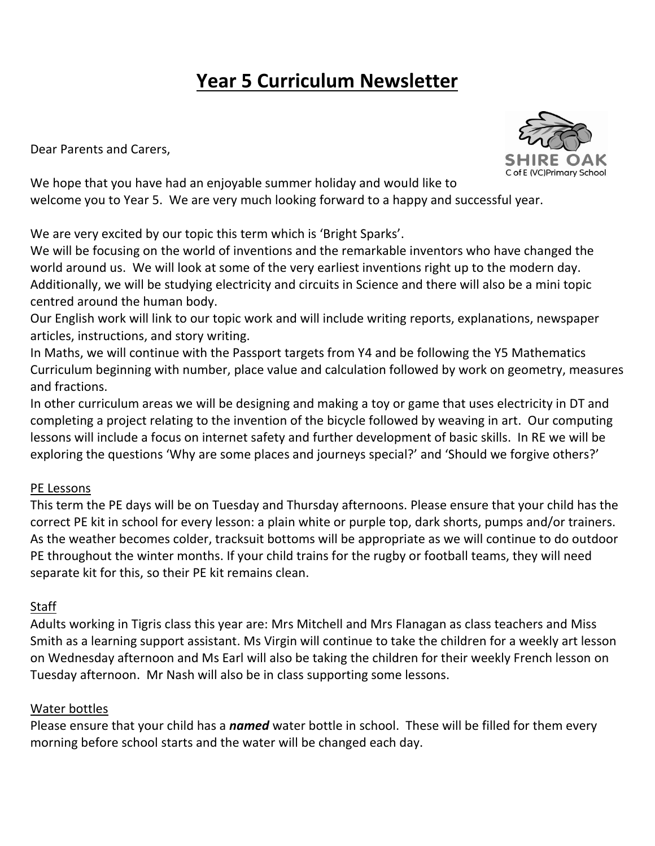# **Year 5 Curriculum Newsletter**

Dear Parents and Carers,



We hope that you have had an enjoyable summer holiday and would like to welcome you to Year 5. We are very much looking forward to a happy and successful year.

We are very excited by our topic this term which is 'Bright Sparks'.

We will be focusing on the world of inventions and the remarkable inventors who have changed the world around us. We will look at some of the very earliest inventions right up to the modern day. Additionally, we will be studying electricity and circuits in Science and there will also be a mini topic centred around the human body.

Our English work will link to our topic work and will include writing reports, explanations, newspaper articles, instructions, and story writing.

In Maths, we will continue with the Passport targets from Y4 and be following the Y5 Mathematics Curriculum beginning with number, place value and calculation followed by work on geometry, measures and fractions.

In other curriculum areas we will be designing and making a toy or game that uses electricity in DT and completing a project relating to the invention of the bicycle followed by weaving in art. Our computing lessons will include a focus on internet safety and further development of basic skills. In RE we will be exploring the questions 'Why are some places and journeys special?' and 'Should we forgive others?'

## PE Lessons

This term the PE days will be on Tuesday and Thursday afternoons. Please ensure that your child has the correct PE kit in school for every lesson: a plain white or purple top, dark shorts, pumps and/or trainers. As the weather becomes colder, tracksuit bottoms will be appropriate as we will continue to do outdoor PE throughout the winter months. If your child trains for the rugby or football teams, they will need separate kit for this, so their PE kit remains clean.

## Staff

Adults working in Tigris class this year are: Mrs Mitchell and Mrs Flanagan as class teachers and Miss Smith as a learning support assistant. Ms Virgin will continue to take the children for a weekly art lesson on Wednesday afternoon and Ms Earl will also be taking the children for their weekly French lesson on Tuesday afternoon. Mr Nash will also be in class supporting some lessons.

## Water bottles

Please ensure that your child has a *named* water bottle in school. These will be filled for them every morning before school starts and the water will be changed each day.